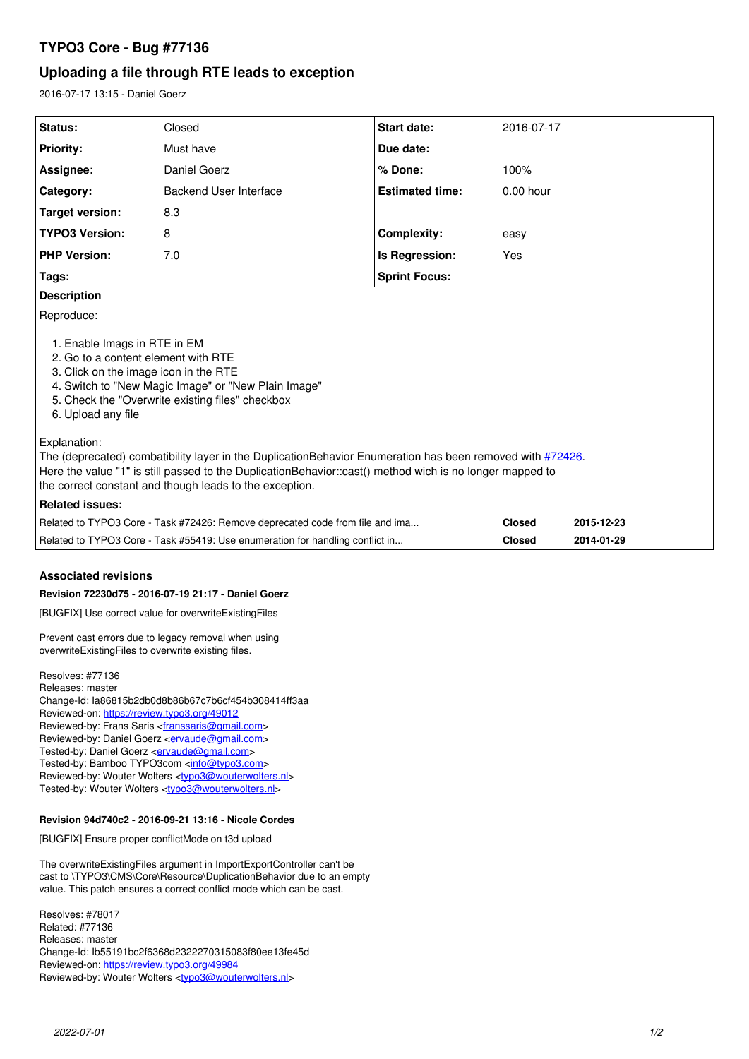# **TYPO3 Core - Bug #77136**

# **Uploading a file through RTE leads to exception**

2016-07-17 13:15 - Daniel Goerz

| Status:                                                                                                                                                                                                                                                                                          | Closed                 | Start date:            | 2016-07-17    |            |
|--------------------------------------------------------------------------------------------------------------------------------------------------------------------------------------------------------------------------------------------------------------------------------------------------|------------------------|------------------------|---------------|------------|
| <b>Priority:</b>                                                                                                                                                                                                                                                                                 | Must have              | Due date:              |               |            |
| Assignee:                                                                                                                                                                                                                                                                                        | Daniel Goerz           | % Done:                | 100%          |            |
| Category:                                                                                                                                                                                                                                                                                        | Backend User Interface | <b>Estimated time:</b> | $0.00$ hour   |            |
| <b>Target version:</b>                                                                                                                                                                                                                                                                           | 8.3                    |                        |               |            |
| <b>TYPO3 Version:</b>                                                                                                                                                                                                                                                                            | 8                      | <b>Complexity:</b>     | easy          |            |
| <b>PHP Version:</b>                                                                                                                                                                                                                                                                              | 7.0                    | Is Regression:         | Yes           |            |
| <b>Sprint Focus:</b><br>Tags:                                                                                                                                                                                                                                                                    |                        |                        |               |            |
| <b>Description</b>                                                                                                                                                                                                                                                                               |                        |                        |               |            |
| Reproduce:<br>1. Enable Imags in RTE in EM<br>2. Go to a content element with RTE<br>3. Click on the image icon in the RTE<br>4. Switch to "New Magic Image" or "New Plain Image"<br>5. Check the "Overwrite existing files" checkbox<br>6. Upload any file                                      |                        |                        |               |            |
| Explanation:<br>The (deprecated) combatibility layer in the DuplicationBehavior Enumeration has been removed with #72426.<br>Here the value "1" is still passed to the DuplicationBehavior::cast() method wich is no longer mapped to<br>the correct constant and though leads to the exception. |                        |                        |               |            |
| <b>Related issues:</b>                                                                                                                                                                                                                                                                           |                        |                        |               |            |
| Related to TYPO3 Core - Task #72426: Remove deprecated code from file and ima                                                                                                                                                                                                                    |                        |                        | <b>Closed</b> | 2015-12-23 |
| Related to TYPO3 Core - Task #55419: Use enumeration for handling conflict in                                                                                                                                                                                                                    |                        |                        | <b>Closed</b> | 2014-01-29 |

# **Associated revisions**

## **Revision 72230d75 - 2016-07-19 21:17 - Daniel Goerz**

[BUGFIX] Use correct value for overwriteExistingFiles

Prevent cast errors due to legacy removal when using overwriteExistingFiles to overwrite existing files.

Resolves: #77136 Releases: master Change-Id: Ia86815b2db0d8b86b67c7b6cf454b308414ff3aa Reviewed-on:<https://review.typo3.org/49012> Reviewed-by: Frans Saris <[franssaris@gmail.com>](mailto:franssaris@gmail.com) Reviewed-by: Daniel Goerz <**ervaude@gmail.com>** Tested-by: Daniel Goerz <**[ervaude@gmail.com](mailto:ervaude@gmail.com)**> Tested-by: Bamboo TYPO3com [<info@typo3.com](mailto:info@typo3.com)> Reviewed-by: Wouter Wolters <[typo3@wouterwolters.nl](mailto:typo3@wouterwolters.nl)> Tested-by: Wouter Wolters [<typo3@wouterwolters.nl>](mailto:typo3@wouterwolters.nl)

## **Revision 94d740c2 - 2016-09-21 13:16 - Nicole Cordes**

[BUGFIX] Ensure proper conflictMode on t3d upload

The overwriteExistingFiles argument in ImportExportController can't be cast to \TYPO3\CMS\Core\Resource\DuplicationBehavior due to an empty value. This patch ensures a correct conflict mode which can be cast.

Resolves: #78017 Related: #77136 Releases: master Change-Id: Ib55191bc2f6368d2322270315083f80ee13fe45d Reviewed-on:<https://review.typo3.org/49984> Reviewed-by: Wouter Wolters <[typo3@wouterwolters.nl](mailto:typo3@wouterwolters.nl)>